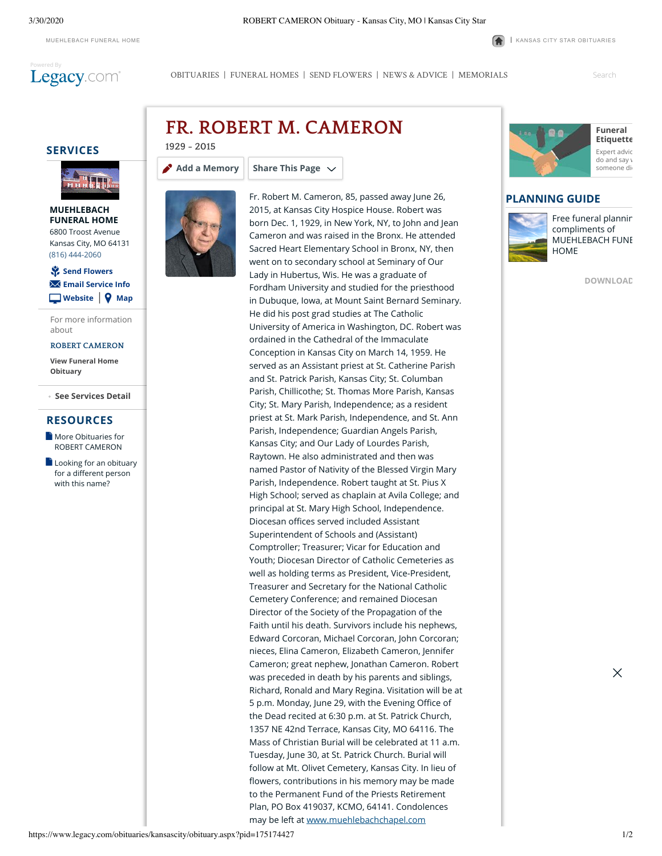

3/30/2020 ROBERT CAMERON Obituary - Kansas City, MO | Kansas City Star

[MUEHLEBACH](http://muehlebachchapel.com/) FUNERAL HOME **|** KANSAS CITY STAR [OBITUARIES](https://www.legacy.com/obituaries/kansascity/)

[OBITUARIES](http://www.legacy.com/obituaries/kansascity) | [FUNERAL HOMES](https://www.legacy.com/funeral-homes/directory/?affiliateId=1164) | [SEND FLOWERS](https://sympathy.legacy.com/funeral-flowers/ROBERT-M-CAMERON-funeral-flowers/p175174427/?affiliateid=1164) | [NEWS & ADVICE](http://www.legacy.com/news) | [MEMORIALS](http://www.legacy.com/memorial-sites/2018/)

Search

## **SERVICES**



### **MUEHLEBACH [FUNERAL HOME](https://www.legacy.com/funeral-homes/MUEHLEBACH-FUNERAL-HOME/fh-2114/?affiliateId=1164)** 6800 Troost Avenue Kansas City, MO 64131 (816) 444-2060

## | **[Website](http://muehlebachchapel.com/) [Map](http://maps.google.com/maps?q=6800+Troost+Avenue+Kansas+City+MO+64131)** ⚘ **[Send Flowers](javascript:void(0))** ✉ **[Email Service Info](https://www.legacy.com/obituaries/kansascity/obituary-email.aspx?n=robert-m-cameron&pid=175174427&emailtype=ServiceDateShare)**

For more information about

### **ROBERT [CAMERON](http://www.legacy.com/link.asp?i=ls000175173242&Affiliate=kansascity&PersonID=175174427&FHID=2114)**

**[View Funeral Home](http://www.legacy.com/link.asp?i=ls000175173242&Affiliate=kansascity&PersonID=175174427&FHID=2114) Obituary**

#### **See Services Detail +**

## **RESOURCES**

- **[More Obituaries for](https://www.legacy.com/obituaries/name/robert-cameron-obituary?pid=175173242&affiliateid=1164)** ROBERT CAMERON
- $\Box$  [Looking for an obituary](https://www.legacy.com/obituaries/name/by/cameron/robert) for a different person with this name?

# **1929 - 2015 FR. ROBERT M. CAMERON**

#### **[Add a Memory](https://www.legacy.com/guestbooks/kansascity/robert-m-cameron-condolences/175174427?cid=full) Share This Page**



Fr. Robert M. Cameron, 85, passed away June 26, 2015, at Kansas City Hospice House. Robert was born Dec. 1, 1929, in New York, NY, to John and Jean Cameron and was raised in the Bronx. He attended Sacred Heart Elementary School in Bronx, NY, then went on to secondary school at Seminary of Our Lady in Hubertus, Wis. He was a graduate of Fordham University and studied for the priesthood in Dubuque, Iowa, at Mount Saint Bernard Seminary. He did his post grad studies at The Catholic University of America in Washington, DC. Robert was ordained in the Cathedral of the Immaculate Conception in Kansas City on March 14, 1959. He served as an Assistant priest at St. Catherine Parish and St. Patrick Parish, Kansas City; St. Columban Parish, Chillicothe; St. Thomas More Parish, Kansas City; St. Mary Parish, Independence; as a resident priest at St. Mark Parish, Independence, and St. Ann Parish, Independence; Guardian Angels Parish, Kansas City; and Our Lady of Lourdes Parish, Raytown. He also administrated and then was named Pastor of Nativity of the Blessed Virgin Mary Parish, Independence. Robert taught at St. Pius X High School; served as chaplain at Avila College; and principal at St. Mary High School, Independence. Diocesan offices served included Assistant Superintendent of Schools and (Assistant) Comptroller; Treasurer; Vicar for Education and Youth; Diocesan Director of Catholic Cemeteries as well as holding terms as President, Vice-President, Treasurer and Secretary for the National Catholic Cemetery Conference; and remained Diocesan Director of the Society of the Propagation of the Faith until his death. Survivors include his nephews, Edward Corcoran, Michael Corcoran, John Corcoran; nieces, Elina Cameron, Elizabeth Cameron, Jennifer Cameron; great nephew, Jonathan Cameron. Robert was preceded in death by his parents and siblings, Richard, Ronald and Mary Regina. Visitation will be at 5 p.m. Monday, June 29, with the Evening Office of the Dead recited at 6:30 p.m. at St. Patrick Church, 1357 NE 42nd Terrace, Kansas City, MO 64116. The Mass of Christian Burial will be celebrated at 11 a.m. Tuesday, June 30, at St. Patrick Church. Burial will follow at Mt. Olivet Cemetery, Kansas City. In lieu of flowers, contributions in his memory may be made to the Permanent Fund of the Priests Retirement Plan, PO Box 419037, KCMO, 64141. Condolences may be left at [www.muehlebachchapel.com](http://www.muehlebachchapel.com/)



# **PLANNING GUIDE**



[Free funeral plannin](http://caringproviders.com/) compliments of MUEHLEBACH FUNE HOME

**[DOWNLOAD](http://caringproviders.com/)**